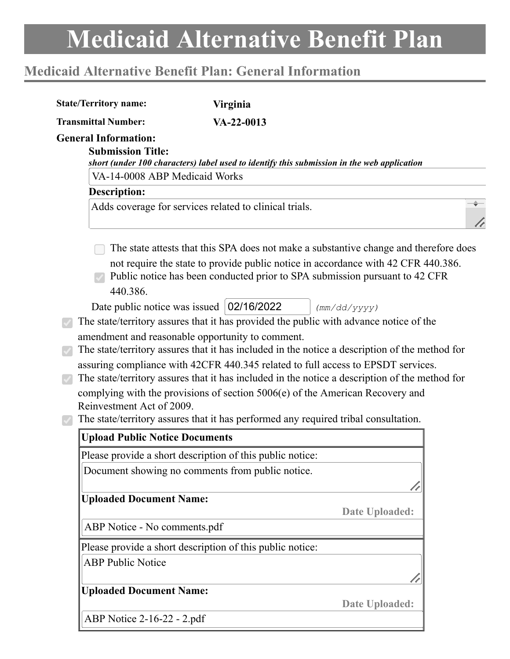# **Medicaid Alternative Benefit Plan: General Information**

| <b>Transmittal Number:</b>                              | $VA - 22 - 0013$                                                                                                                                                                   |
|---------------------------------------------------------|------------------------------------------------------------------------------------------------------------------------------------------------------------------------------------|
| <b>General Information:</b><br><b>Submission Title:</b> | short (under 100 characters) label used to identify this submission in the web application                                                                                         |
| VA-14-0008 ABP Medicaid Works                           |                                                                                                                                                                                    |
| <b>Description:</b>                                     |                                                                                                                                                                                    |
|                                                         | Adds coverage for services related to clinical trials.                                                                                                                             |
|                                                         | The state attests that this SPA does not make a substantive change and therefore does                                                                                              |
| 440.386.                                                | not require the state to provide public notice in accordance with 42 CFR 440.386.<br>Public notice has been conducted prior to SPA submission pursuant to 42 CFR                   |
|                                                         | Date public notice was issued   02/16/2022<br>(mm/dd/yyyy)                                                                                                                         |
|                                                         | The state/territory assures that it has provided the public with advance notice of the                                                                                             |
|                                                         | amendment and reasonable opportunity to comment.                                                                                                                                   |
|                                                         | The state/territory assures that it has included in the notice a description of the method for                                                                                     |
|                                                         | assuring compliance with 42CFR 440.345 related to full access to EPSDT services.<br>The state/territory assures that it has included in the notice a description of the method for |
|                                                         |                                                                                                                                                                                    |
|                                                         |                                                                                                                                                                                    |
| Reinvestment Act of 2009.                               | complying with the provisions of section 5006(e) of the American Recovery and                                                                                                      |
|                                                         | The state/territory assures that it has performed any required tribal consultation.                                                                                                |
| <b>Upload Public Notice Documents</b>                   |                                                                                                                                                                                    |
|                                                         |                                                                                                                                                                                    |
|                                                         | Please provide a short description of this public notice:<br>Document showing no comments from public notice.                                                                      |
|                                                         |                                                                                                                                                                                    |
| <b>Uploaded Document Name:</b>                          |                                                                                                                                                                                    |
|                                                         | Date Uploaded:                                                                                                                                                                     |
| ABP Notice - No comments.pdf                            |                                                                                                                                                                                    |
|                                                         | Please provide a short description of this public notice:                                                                                                                          |
| <b>ABP Public Notice</b>                                |                                                                                                                                                                                    |
|                                                         |                                                                                                                                                                                    |
| <b>Uploaded Document Name:</b>                          |                                                                                                                                                                                    |
| ABP Notice 2-16-22 - 2.pdf                              | Date Uploaded:                                                                                                                                                                     |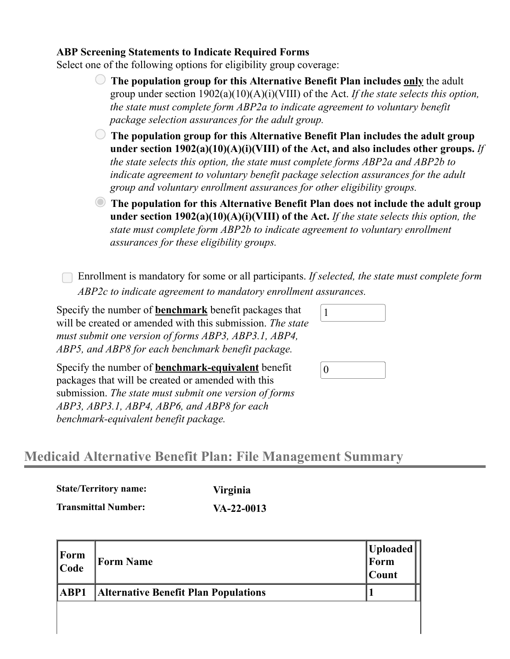#### **ABP Screening Statements to Indicate Required Forms**

Select one of the following options for eligibility group coverage:

- **The population group for this Alternative Benefit Plan includes only** the adult group under section 1902(a)(10)(A)(i)(VIII) of the Act. *If the state selects this option, the state must complete form ABP2a to indicate agreement to voluntary benefit package selection assurances for the adult group.*
- **The population group for this Alternative Benefit Plan includes the adult group under section 1902(a)(10)(A)(i)(VIII) of the Act, and also includes other groups.** *If the state selects this option, the state must complete forms ABP2a and ABP2b to indicate agreement to voluntary benefit package selection assurances for the adult group and voluntary enrollment assurances for other eligibility groups.*
- **The population for this Alternative Benefit Plan does not include the adult group under section 1902(a)(10)(A)(i)(VIII) of the Act.** *If the state selects this option, the state must complete form ABP2b to indicate agreement to voluntary enrollment assurances for these eligibility groups.*

Enrollment is mandatory for some or all participants. *If selected, the state must complete form ABP2c to indicate agreement to mandatory enrollment assurances.*

Specify the number of **benchmark** benefit packages that will be created or amended with this submission. *The state must submit one version of forms ABP3, ABP3.1, ABP4, ABP5, and ABP8 for each benchmark benefit package.*

Specify the number of **benchmark-equivalent** benefit packages that will be created or amended with this submission. *The state must submit one version of forms ABP3, ABP3.1, ABP4, ABP6, and ABP8 for each benchmark-equivalent benefit package.*

1

# **Medicaid Alternative Benefit Plan: File Management Summary**

| <b>State/Territory name:</b> | <b>Virginia</b> |
|------------------------------|-----------------|
| <b>Transmittal Number:</b>   | $VA-22-0013$    |

| $\begin{array}{c} \n\text{Form} \\ \n\text{Code} \n\end{array}$ | <b>Form Name</b>                            | $\begin{array}{c} \textbf{Uploaded} \\ \textbf{Form} \end{array}$<br> Count |
|-----------------------------------------------------------------|---------------------------------------------|-----------------------------------------------------------------------------|
| ABP1                                                            | <b>Alternative Benefit Plan Populations</b> |                                                                             |
|                                                                 |                                             |                                                                             |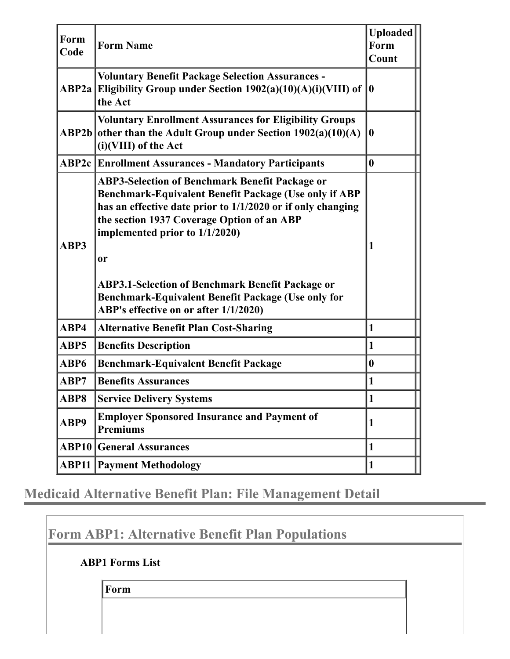| Form<br>Code | <b>Form Name</b>                                                                                                                                                                                                                                                                                                                                                                                                                         | <b>Uploaded</b><br>Form<br>Count |
|--------------|------------------------------------------------------------------------------------------------------------------------------------------------------------------------------------------------------------------------------------------------------------------------------------------------------------------------------------------------------------------------------------------------------------------------------------------|----------------------------------|
|              | <b>Voluntary Benefit Package Selection Assurances -</b><br>ABP2a Eligibility Group under Section 1902(a)(10)(A)(i)(VIII) of<br>the Act                                                                                                                                                                                                                                                                                                   | $\bf{0}$                         |
| ABP2b        | <b>Voluntary Enrollment Assurances for Eligibility Groups</b><br>other than the Adult Group under Section $1902(a)(10)(A)$<br>(i)(VIII) of the Act                                                                                                                                                                                                                                                                                       | 0                                |
|              | <b>ABP2c Enrollment Assurances - Mandatory Participants</b>                                                                                                                                                                                                                                                                                                                                                                              | $\mathbf{0}$                     |
| ABP3         | <b>ABP3-Selection of Benchmark Benefit Package or</b><br>Benchmark-Equivalent Benefit Package (Use only if ABP<br>has an effective date prior to 1/1/2020 or if only changing<br>the section 1937 Coverage Option of an ABP<br>implemented prior to 1/1/2020)<br><sub>or</sub><br><b>ABP3.1-Selection of Benchmark Benefit Package or</b><br>Benchmark-Equivalent Benefit Package (Use only for<br>ABP's effective on or after 1/1/2020) |                                  |
| ABP4         | <b>Alternative Benefit Plan Cost-Sharing</b>                                                                                                                                                                                                                                                                                                                                                                                             | $\mathbf{1}$                     |
| ABP5         | <b>Benefits Description</b>                                                                                                                                                                                                                                                                                                                                                                                                              | $\vert$ 1                        |
| ABP6         | <b>Benchmark-Equivalent Benefit Package</b>                                                                                                                                                                                                                                                                                                                                                                                              | $\mathbf{0}$                     |
| ABP7         | <b>Benefits Assurances</b>                                                                                                                                                                                                                                                                                                                                                                                                               | $\mathbf{1}$                     |
| ABP8         | <b>Service Delivery Systems</b>                                                                                                                                                                                                                                                                                                                                                                                                          | 1                                |
| ABP9         | <b>Employer Sponsored Insurance and Payment of</b><br><b>Premiums</b>                                                                                                                                                                                                                                                                                                                                                                    | 1                                |
| ABP10        | <b>General Assurances</b>                                                                                                                                                                                                                                                                                                                                                                                                                | 1                                |
| ABP11        | <b>Payment Methodology</b>                                                                                                                                                                                                                                                                                                                                                                                                               | $\vert$ 1                        |

**Medicaid Alternative Benefit Plan: File Management Detail**

**Form ABP1: Alternative Benefit Plan Populations**

**ABP1 Forms List**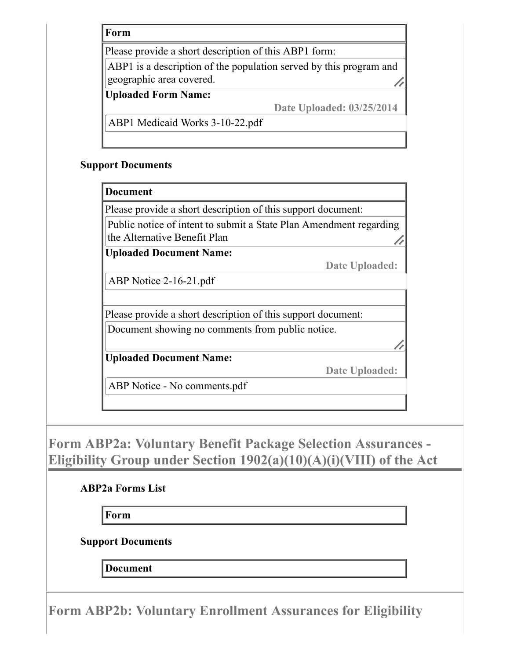Please provide a short description of this ABP1 form:

ABP1 is a description of the population served by this program and geographic area covered.

#### **Uploaded Form Name:**

**Date Uploaded: 03/25/2014**

ABP1 Medicaid Works 3-10-22.pdf

#### **Support Documents**

#### **Document**

Please provide a short description of this support document:

Public notice of intent to submit a State Plan Amendment regarding the Alternative Benefit Plan

**Uploaded Document Name:**

**Date Uploaded:**

ABP Notice 2-16-21.pdf

Please provide a short description of this support document: Document showing no comments from public notice.

**Uploaded Document Name:**

**Date Uploaded:**

ABP Notice - No comments.pdf

**Form ABP2a: Voluntary Benefit Package Selection Assurances - Eligibility Group under Section 1902(a)(10)(A)(i)(VIII) of the Act**

# **ABP2a Forms List**

**Form**

**Support Documents**

**Document**

**Form ABP2b: Voluntary Enrollment Assurances for Eligibility**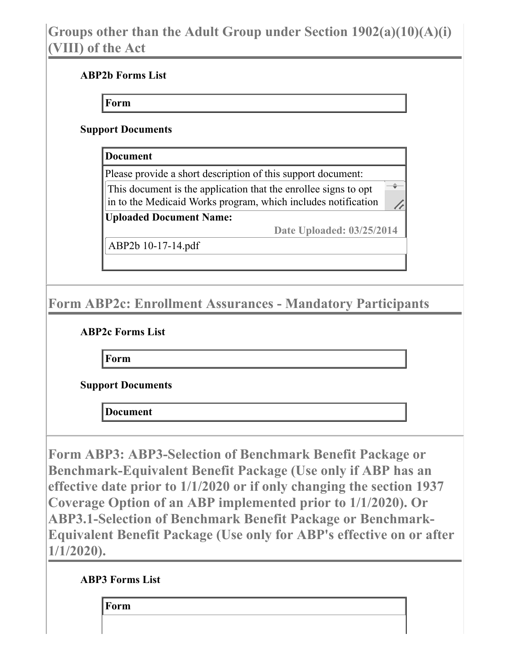# **Groups other than the Adult Group under Section 1902(a)(10)(A)(i) (VIII) of the Act**

## **ABP2b Forms List**

**Form**

#### **Support Documents**

**Document**

Please provide a short description of this support document: This document is the application that the enrollee signs to opt in to the Medicaid Works program, which includes notification

**Uploaded Document Name:**

**Date Uploaded: 03/25/2014**

h

ABP2b 10-17-14.pdf

# **Form ABP2c: Enrollment Assurances - Mandatory Participants**

## **ABP2c Forms List**

**Form**

**Support Documents**

**Document**

**Form ABP3: ABP3-Selection of Benchmark Benefit Package or Benchmark-Equivalent Benefit Package (Use only if ABP has an effective date prior to 1/1/2020 or if only changing the section 1937 Coverage Option of an ABP implemented prior to 1/1/2020). Or ABP3.1-Selection of Benchmark Benefit Package or Benchmark-Equivalent Benefit Package (Use only for ABP's effective on or after 1/1/2020).**

## **ABP3 Forms List**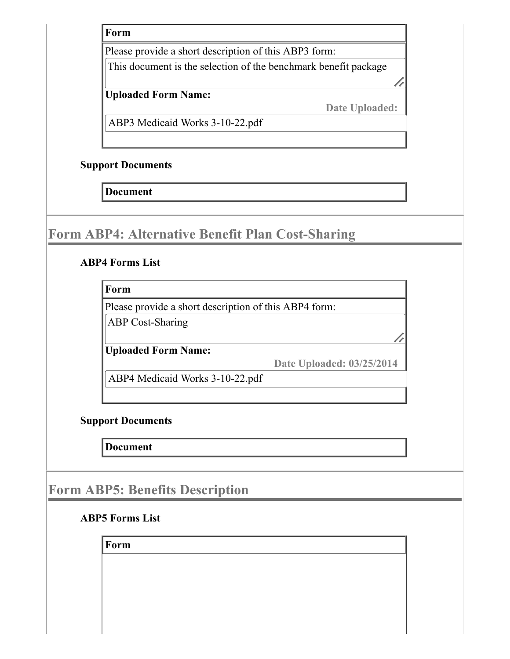Please provide a short description of this ABP3 form:

This document is the selection of the benchmark benefit package

## **Uploaded Form Name:**

**Date Uploaded:**

ABP3 Medicaid Works 3-10-22.pdf

#### **Support Documents**

**Document**

# **Form ABP4: Alternative Benefit Plan Cost-Sharing**

## **ABP4 Forms List**

**Form**

Please provide a short description of this ABP4 form:

ABP Cost-Sharing

**Uploaded Form Name:**

**Date Uploaded: 03/25/2014**

ABP4 Medicaid Works 3-10-22.pdf

## **Support Documents**

**Document**

# **Form ABP5: Benefits Description**

## **ABP5 Forms List**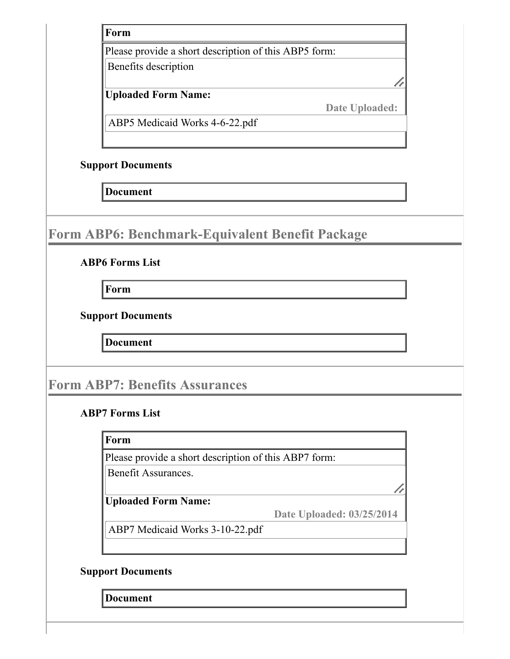Please provide a short description of this ABP5 form:

Benefits description

## **Uploaded Form Name:**

**Date Uploaded:**

ABP5 Medicaid Works 4-6-22.pdf

#### **Support Documents**

**Document**

# **Form ABP6: Benchmark-Equivalent Benefit Package**

#### **ABP6 Forms List**

**Form**

**Support Documents**

**Document**

# **Form ABP7: Benefits Assurances**

#### **ABP7 Forms List**

#### **Form**

Please provide a short description of this ABP7 form:

Benefit Assurances.

# **Uploaded Form Name:**

**Date Uploaded: 03/25/2014**

ABP7 Medicaid Works 3-10-22.pdf

## **Support Documents**

**Document**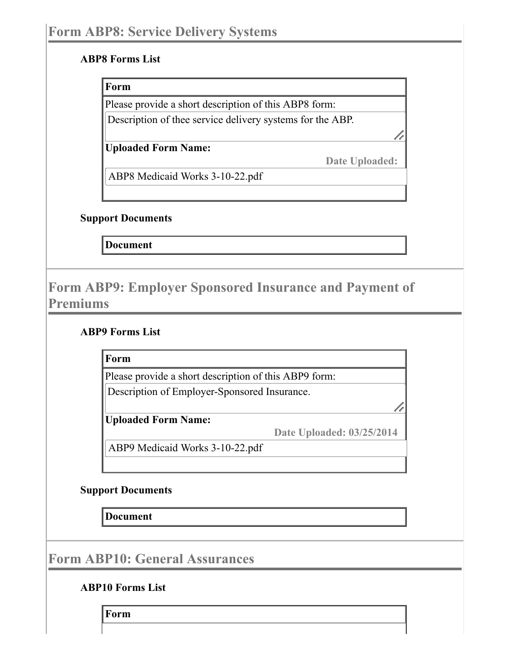#### **ABP8 Forms List**

#### **Form**

Please provide a short description of this ABP8 form:

Description of thee service delivery systems for the ABP.

**Uploaded Form Name:**

**Date Uploaded:**

//

ABP8 Medicaid Works 3-10-22.pdf

#### **Support Documents**

**Document**

# **Form ABP9: Employer Sponsored Insurance and Payment of Premiums**

## **ABP9 Forms List**

**Form**

Please provide a short description of this ABP9 form: Description of Employer-Sponsored Insurance.

**Uploaded Form Name:**

**Date Uploaded: 03/25/2014**

ABP9 Medicaid Works 3-10-22.pdf

## **Support Documents**

**Document**

**Form ABP10: General Assurances**

## **ABP10 Forms List**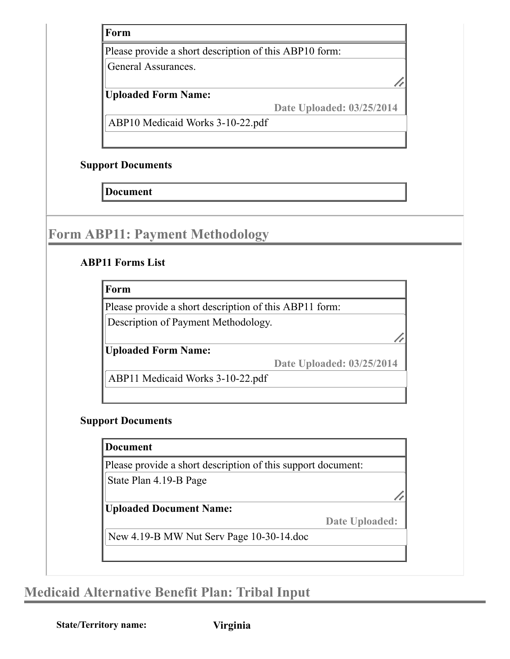Please provide a short description of this ABP10 form:

General Assurances.

# **Uploaded Form Name:**

**Date Uploaded: 03/25/2014**

ABP10 Medicaid Works 3-10-22.pdf

# **Support Documents**

**Document**

# **Form ABP11: Payment Methodology**

# **ABP11 Forms List**

**Form**

Please provide a short description of this ABP11 form:

Description of Payment Methodology.

**Uploaded Form Name:**

**Date Uploaded: 03/25/2014**

ABP11 Medicaid Works 3-10-22.pdf

# **Support Documents**

## **Document**

Please provide a short description of this support document:

State Plan 4.19-B Page

# **Uploaded Document Name:**

**Date Uploaded:**

New 4.19-B MW Nut Serv Page 10-30-14.doc

# **Medicaid Alternative Benefit Plan: Tribal Input**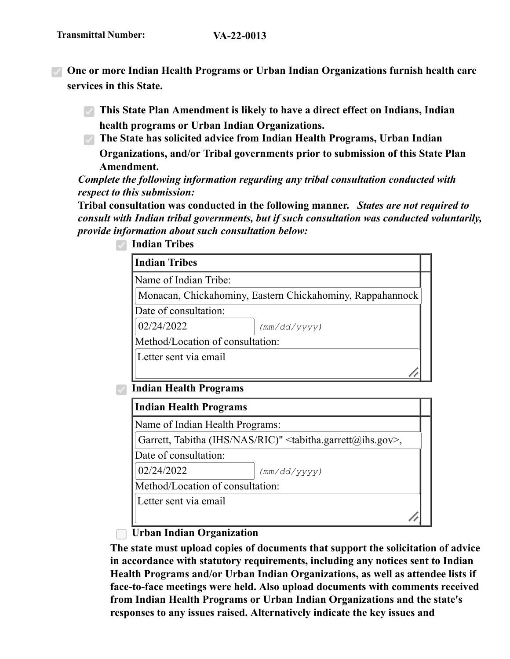- **One or more Indian Health Programs or Urban Indian Organizations furnish health care services in this State.**
	- **This State Plan Amendment is likely to have a direct effect on Indians, Indian health programs or Urban Indian Organizations.**
	- **The State has solicited advice from Indian Health Programs, Urban Indian Organizations, and/or Tribal governments prior to submission of this State Plan Amendment.**

*Complete the following information regarding any tribal consultation conducted with respect to this submission:*

**Tribal consultation was conducted in the following manner.** *States are not required to consult with Indian tribal governments, but if such consultation was conducted voluntarily, provide information about such consultation below:*

| Monacan, Chickahominy, Eastern Chickahominy, Rappahannock                            |
|--------------------------------------------------------------------------------------|
|                                                                                      |
|                                                                                      |
|                                                                                      |
| (mm/dd/yyyy)                                                                         |
| Method/Location of consultation:                                                     |
|                                                                                      |
|                                                                                      |
|                                                                                      |
|                                                                                      |
| Name of Indian Health Programs:                                                      |
| Garrett, Tabitha (IHS/NAS/RIC)" <tabitha.garrett@ihs.gov>,</tabitha.garrett@ihs.gov> |
|                                                                                      |
| (mm/dd/yyyy)                                                                         |
| Method/Location of consultation:                                                     |
|                                                                                      |

**Indian Tribes**

## **Urban Indian Organization**

**The state must upload copies of documents that support the solicitation of advice in accordance with statutory requirements, including any notices sent to Indian Health Programs and/or Urban Indian Organizations, as well as attendee lists if face-to-face meetings were held. Also upload documents with comments received from Indian Health Programs or Urban Indian Organizations and the state's responses to any issues raised. Alternatively indicate the key issues and**

 $\mathbb{Z}^{\mathbb{Z}}$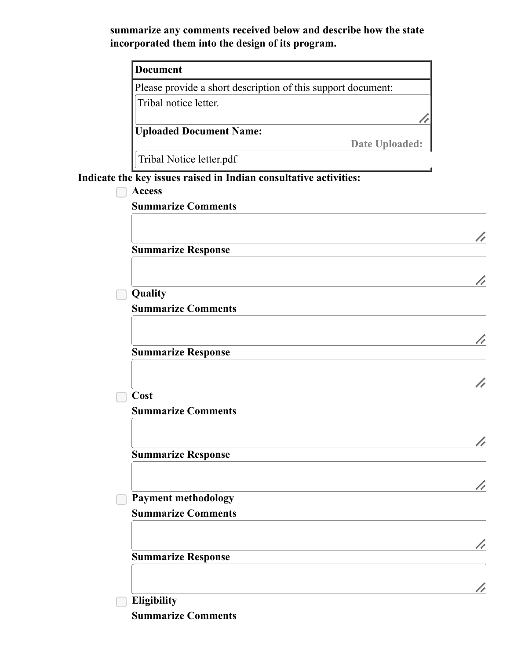**summarize any comments received below and describe how the state incorporated them into the design of its program.**

| <b>Document</b>                                                   |  |  |
|-------------------------------------------------------------------|--|--|
| Please provide a short description of this support document:      |  |  |
| Tribal notice letter.                                             |  |  |
|                                                                   |  |  |
| <b>Uploaded Document Name:</b>                                    |  |  |
| Date Uploaded:                                                    |  |  |
| Tribal Notice letter.pdf                                          |  |  |
| Indicate the key issues raised in Indian consultative activities: |  |  |
| <b>Access</b>                                                     |  |  |
| <b>Summarize Comments</b>                                         |  |  |
|                                                                   |  |  |
| <b>Summarize Response</b>                                         |  |  |
|                                                                   |  |  |
|                                                                   |  |  |
| Quality                                                           |  |  |
| <b>Summarize Comments</b>                                         |  |  |
|                                                                   |  |  |
|                                                                   |  |  |
| <b>Summarize Response</b>                                         |  |  |
|                                                                   |  |  |
|                                                                   |  |  |
| Cost                                                              |  |  |
| <b>Summarize Comments</b>                                         |  |  |
|                                                                   |  |  |
| <b>Summarize Response</b>                                         |  |  |
|                                                                   |  |  |
|                                                                   |  |  |
| <b>Payment methodology</b>                                        |  |  |
| <b>Summarize Comments</b>                                         |  |  |
|                                                                   |  |  |
|                                                                   |  |  |
| <b>Summarize Response</b>                                         |  |  |

V,

V,

V,

X,

V,

h

V,

V,

**Eligibility**

**Summarize Comments**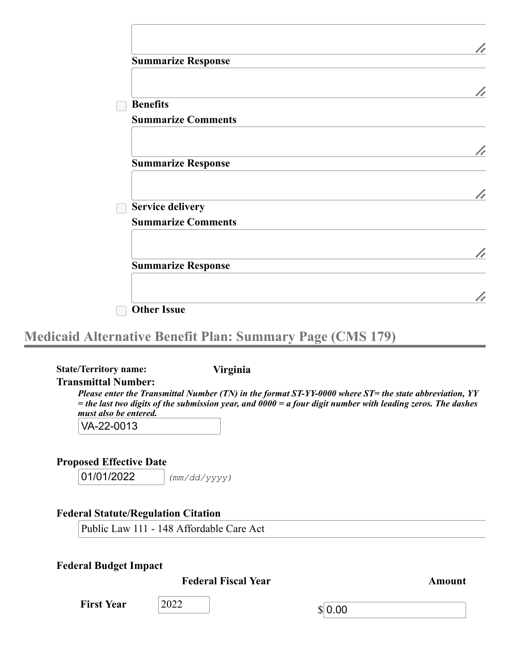| <b>Summarize Response</b> |   |
|---------------------------|---|
|                           |   |
| <b>Benefits</b>           | h |
| <b>Summarize Comments</b> |   |
|                           |   |
| <b>Summarize Response</b> |   |
|                           |   |
|                           |   |
| <b>Service delivery</b>   |   |
| <b>Summarize Comments</b> |   |
|                           |   |
| <b>Summarize Response</b> |   |
|                           |   |
|                           |   |
| <b>Other Issue</b>        |   |

# **Medicaid Alternative Benefit Plan: Summary Page (CMS 179)**

**State/Territory name: Virginia Transmittal Number:** *Please enter the Transmittal Number (TN) in the format ST-YY-0000 where ST= the state abbreviation, YY* = the last two digits of the submission year, and  $0000 = a$  four digit number with leading zeros. The dashes *must also be entered.* VA-22-0013

**Proposed Effective Date**

01/01/2022 *(mm/dd/yyyy)*

# **Federal Statute/Regulation Citation**

Public Law 111 - 148 Affordable Care Act

## **Federal Budget Impact**

**Federal Fiscal Year Amount**

**First Year** 2022

 $$ 0.00$